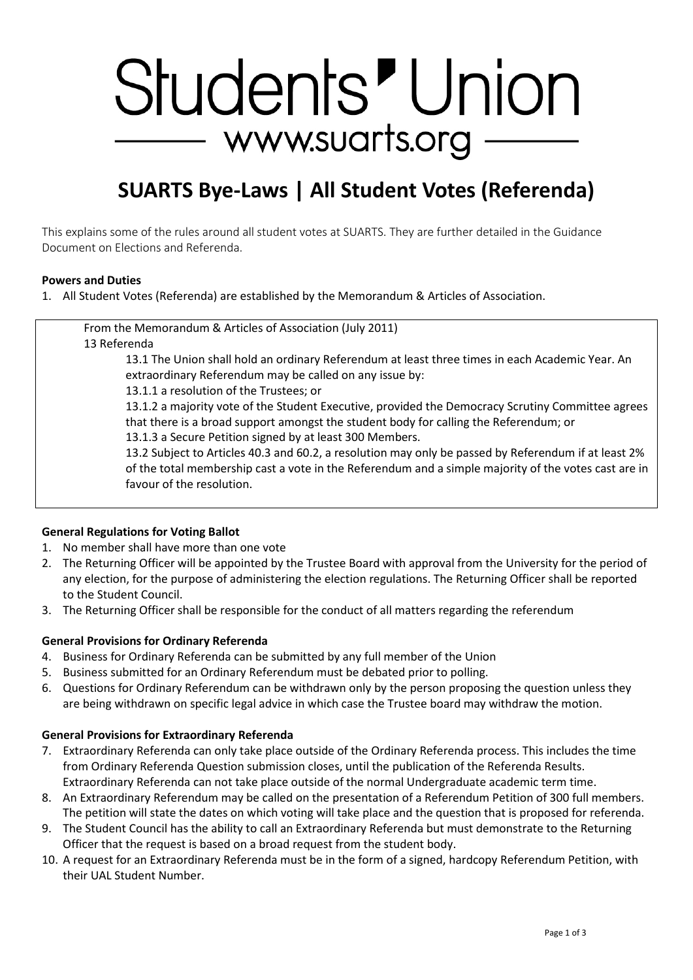# Students' Union — www.suarts.org

# **SUARTS Bye-Laws | All Student Votes (Referenda)**

This explains some of the rules around all student votes at SUARTS. They are further detailed in the Guidance Document on Elections and Referenda.

#### **Powers and Duties**

1. All Student Votes (Referenda) are established by the Memorandum & Articles of Association.

From the Memorandum & Articles of Association (July 2011) 13 Referenda

> 13.1 The Union shall hold an ordinary Referendum at least three times in each Academic Year. An extraordinary Referendum may be called on any issue by:

13.1.1 a resolution of the Trustees; or

13.1.2 a majority vote of the Student Executive, provided the Democracy Scrutiny Committee agrees that there is a broad support amongst the student body for calling the Referendum; or

13.1.3 a Secure Petition signed by at least 300 Members.

13.2 Subject to Articles 40.3 and 60.2, a resolution may only be passed by Referendum if at least 2% of the total membership cast a vote in the Referendum and a simple majority of the votes cast are in favour of the resolution.

# **General Regulations for Voting Ballot**

- 1. No member shall have more than one vote
- 2. The Returning Officer will be appointed by the Trustee Board with approval from the University for the period of any election, for the purpose of administering the election regulations. The Returning Officer shall be reported to the Student Council.
- 3. The Returning Officer shall be responsible for the conduct of all matters regarding the referendum

#### **General Provisions for Ordinary Referenda**

- 4. Business for Ordinary Referenda can be submitted by any full member of the Union
- 5. Business submitted for an Ordinary Referendum must be debated prior to polling.
- 6. Questions for Ordinary Referendum can be withdrawn only by the person proposing the question unless they are being withdrawn on specific legal advice in which case the Trustee board may withdraw the motion.

#### **General Provisions for Extraordinary Referenda**

- 7. Extraordinary Referenda can only take place outside of the Ordinary Referenda process. This includes the time from Ordinary Referenda Question submission closes, until the publication of the Referenda Results. Extraordinary Referenda can not take place outside of the normal Undergraduate academic term time.
- 8. An Extraordinary Referendum may be called on the presentation of a Referendum Petition of 300 full members. The petition will state the dates on which voting will take place and the question that is proposed for referenda.
- 9. The Student Council has the ability to call an Extraordinary Referenda but must demonstrate to the Returning Officer that the request is based on a broad request from the student body.
- 10. A request for an Extraordinary Referenda must be in the form of a signed, hardcopy Referendum Petition, with their UAL Student Number.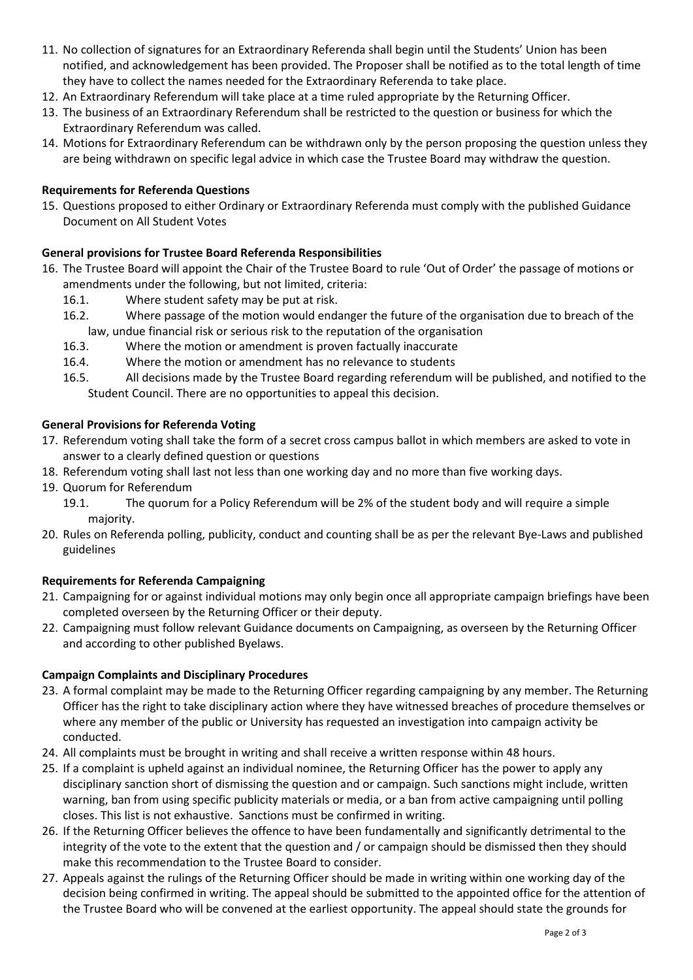- 11. No collection of signatures for an Extraordinary Referenda shall begin until the Students' Union has been notified, and acknowledgement has been provided. The Proposer shall be notified as to the total length of time they have to collect the names needed for the Extraordinary Referenda to take place.
- 12. An Extraordinary Referendum will take place at a time ruled appropriate by the Returning Officer.
- 13. The business of an Extraordinary Referendum shall be restricted to the question or business for which the Extraordinary Referendum was called.
- 14. Motions for Extraordinary Referendum can be withdrawn only by the person proposing the question unless they are being withdrawn on specific legal advice in which case the Trustee Board may withdraw the question.

# **Requirements for Referenda Questions**

15. Questions proposed to either Ordinary or Extraordinary Referenda must comply with the published Guidance Document on All Student Votes

# **General provisions for Trustee Board Referenda Responsibilities**

- 16. The Trustee Board will appoint the Chair of the Trustee Board to rule 'Out of Order' the passage of motions or amendments under the following, but not limited, criteria:
	- 16.1. Where student safety may be put at risk.
	- 16.2. Where passage of the motion would endanger the future of the organisation due to breach of the law, undue financial risk or serious risk to the reputation of the organisation
	- 16.3. Where the motion or amendment is proven factually inaccurate
	- 16.4. Where the motion or amendment has no relevance to students
	- 16.5. All decisions made by the Trustee Board regarding referendum will be published, and notified to the Student Council. There are no opportunities to appeal this decision.

# **General Provisions for Referenda Voting**

- 17. Referendum voting shall take the form of a secret cross campus ballot in which members are asked to vote in answer to a clearly defined question or questions
- 18. Referendum voting shall last not less than one working day and no more than five working days.
- 19. Quorum for Referendum
	- 19.1. The quorum for a Policy Referendum will be 2% of the student body and will require a simple majority.
- 20. Rules on Referenda polling, publicity, conduct and counting shall be as per the relevant Bye-Laws and published guidelines

# **Requirements for Referenda Campaigning**

- 21. Campaigning for or against individual motions may only begin once all appropriate campaign briefings have been completed overseen by the Returning Officer or their deputy.
- 22. Campaigning must follow relevant Guidance documents on Campaigning, as overseen by the Returning Officer and according to other published Byelaws.

# **Campaign Complaints and Disciplinary Procedures**

- 23. A formal complaint may be made to the Returning Officer regarding campaigning by any member. The Returning Officer has the right to take disciplinary action where they have witnessed breaches of procedure themselves or where any member of the public or University has requested an investigation into campaign activity be conducted.
- 24. All complaints must be brought in writing and shall receive a written response within 48 hours.
- 25. If a complaint is upheld against an individual nominee, the Returning Officer has the power to apply any disciplinary sanction short of dismissing the question and or campaign. Such sanctions might include, written warning, ban from using specific publicity materials or media, or a ban from active campaigning until polling closes. This list is not exhaustive. Sanctions must be confirmed in writing.
- 26. If the Returning Officer believes the offence to have been fundamentally and significantly detrimental to the integrity of the vote to the extent that the question and / or campaign should be dismissed then they should make this recommendation to the Trustee Board to consider.
- 27. Appeals against the rulings of the Returning Officer should be made in writing within one working day of the decision being confirmed in writing. The appeal should be submitted to the appointed office for the attention of the Trustee Board who will be convened at the earliest opportunity. The appeal should state the grounds for